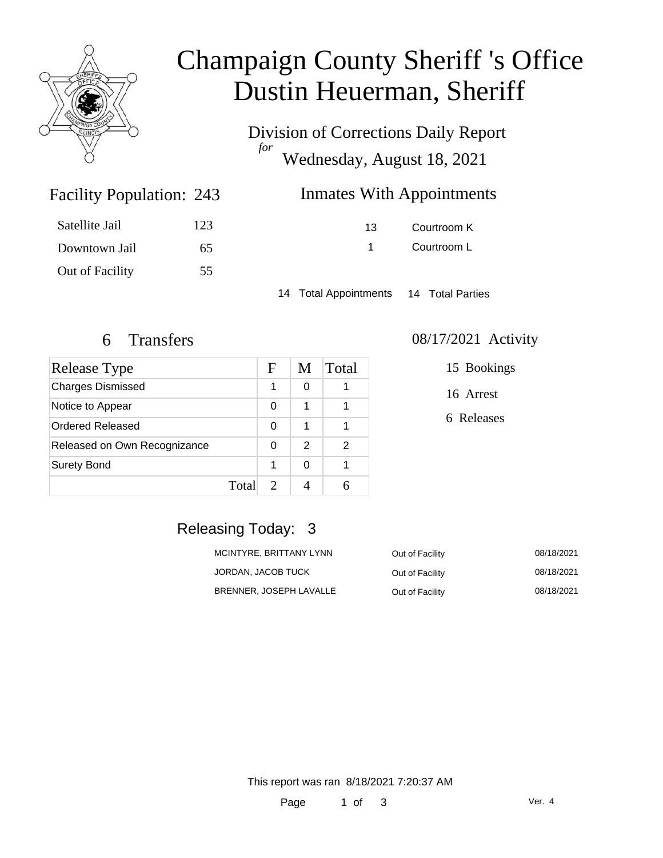

# Champaign County Sheriff 's Office Dustin Heuerman, Sheriff

Division of Corrections Daily Report *for* Wednesday, August 18, 2021

## Inmates With Appointments

| 13 | Courtroom K |
|----|-------------|
|    | Courtroom L |

14 Total Appointments 14 Total Parties

Facility Population: 243

Satellite Jail 123

Downtown Jail 65

Out of Facility 55

| Release Type                 |       | F | M | Total |
|------------------------------|-------|---|---|-------|
| <b>Charges Dismissed</b>     |       | 1 | 0 |       |
| Notice to Appear             |       | 0 | 1 |       |
| Ordered Released             |       | 0 | 1 |       |
| Released on Own Recognizance |       | 0 | 2 | 2     |
| <b>Surety Bond</b>           |       | 1 | 0 |       |
|                              | Total |   |   |       |

#### 6 Transfers 08/17/2021 Activity

15 Bookings

16 Arrest

6 Releases

### Releasing Today: 3

| MCINTYRE, BRITTANY LYNN | Out of Facility | 08/18/2021 |
|-------------------------|-----------------|------------|
| JORDAN, JACOB TUCK      | Out of Facility | 08/18/2021 |
| BRENNER, JOSEPH LAVALLE | Out of Facility | 08/18/2021 |

This report was ran 8/18/2021 7:20:37 AM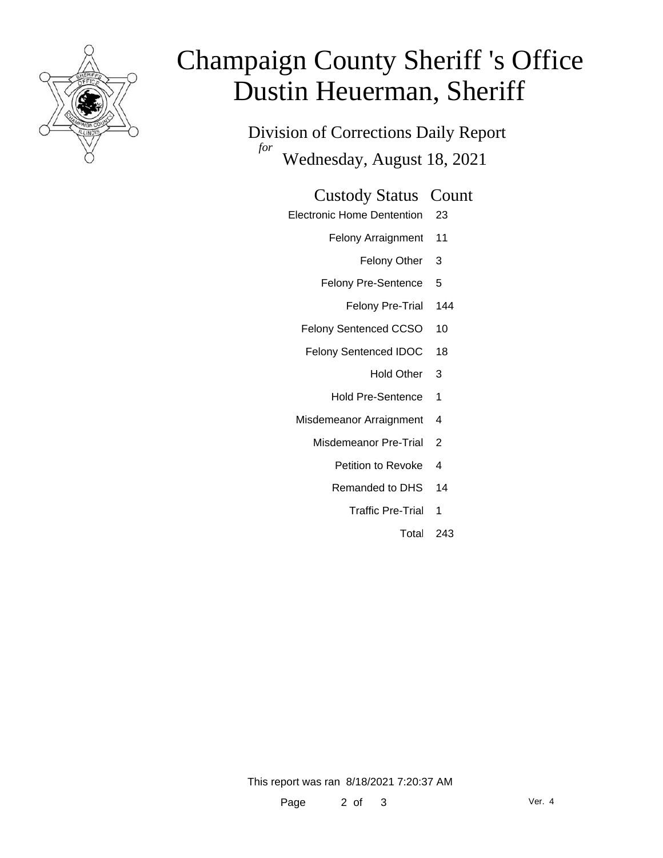

# Champaign County Sheriff 's Office Dustin Heuerman, Sheriff

Division of Corrections Daily Report *for* Wednesday, August 18, 2021

#### Custody Status Count

- Electronic Home Dentention 23
	- Felony Arraignment 11
		- Felony Other 3
	- Felony Pre-Sentence 5
		- Felony Pre-Trial 144
	- Felony Sentenced CCSO 10
	- Felony Sentenced IDOC 18
		- Hold Other 3
		- Hold Pre-Sentence 1
	- Misdemeanor Arraignment 4
		- Misdemeanor Pre-Trial 2
			- Petition to Revoke 4
			- Remanded to DHS 14
				- Traffic Pre-Trial 1
					- Total 243

This report was ran 8/18/2021 7:20:37 AM